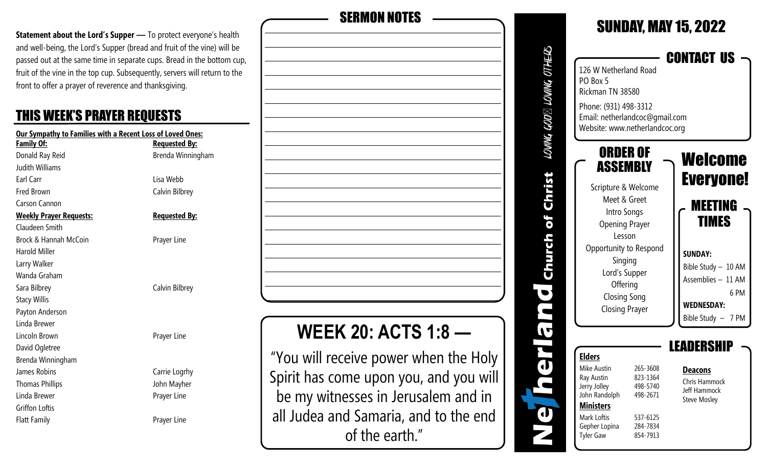**Statement about the Lord's Supper —** To protect everyone's health and well-being, the Lord's Supper (bread and fruit of the vine) will be passed out at the same time in separate cups. Bread in the bottom cup, fruit of the vine in the top cup. Subsequently, servers will return to the front to offer a prayer of reverence and thanksgiving.

### THIS WEEK'S PRAYER REQUESTS

| Our Sympathy to Families with a Recent Loss of Loved Ones: |                      |  |  |
|------------------------------------------------------------|----------------------|--|--|
| Family Of:                                                 | <b>Requested By:</b> |  |  |
| Donald Ray Reid                                            | Brenda Winningham    |  |  |
| Judith Williams                                            |                      |  |  |
| Earl Carr                                                  | Lisa Webb            |  |  |
| <b>Fred Brown</b>                                          | Calvin Bilbrey       |  |  |
| Carson Cannon                                              |                      |  |  |
| <u> Weekly Prayer Requests:</u>                            | <b>Requested By:</b> |  |  |
| Claudeen Smith                                             |                      |  |  |
| Brock & Hannah McCoin                                      | Prayer Line          |  |  |
| Harold Miller                                              |                      |  |  |
| Larry Walker                                               |                      |  |  |
| Wanda Graham                                               |                      |  |  |
| Sara Bilbrey                                               | Calvin Bilbrey       |  |  |
| <b>Stacy Willis</b>                                        |                      |  |  |
| Payton Anderson                                            |                      |  |  |
| Linda Brewer                                               |                      |  |  |
| Lincoln Brown                                              | Prayer Line          |  |  |
| David Ogletree                                             |                      |  |  |
| Brenda Winningham                                          |                      |  |  |
| James Robins                                               | Carrie Logrhy        |  |  |
| <b>Thomas Phillips</b>                                     | John Mayher          |  |  |
| Linda Brewer                                               | Prayer Line          |  |  |
| Griffon Loftis                                             |                      |  |  |
| <b>Flatt Family</b>                                        | Prayer Line          |  |  |
|                                                            |                      |  |  |

| <b>SERMON NOTES</b>                    |
|----------------------------------------|
|                                        |
|                                        |
|                                        |
|                                        |
|                                        |
|                                        |
|                                        |
|                                        |
|                                        |
|                                        |
|                                        |
|                                        |
|                                        |
|                                        |
|                                        |
| <b>WEEK 20: ACTS 1:8</b>               |
| "You will receive power when the Holy  |
|                                        |
| Spirit has come upon you, and you will |
| be my witnesses in Jerusalem and in    |
| all Judea and Samaria, and to the end  |
| of the earth."                         |

|                                     |                                                                                                                                                                                                                                 |                                                                                  | <b>SUNUAY, MAY 15, ZUZZ</b>                                                                                                                                                    |
|-------------------------------------|---------------------------------------------------------------------------------------------------------------------------------------------------------------------------------------------------------------------------------|----------------------------------------------------------------------------------|--------------------------------------------------------------------------------------------------------------------------------------------------------------------------------|
| LOWING GOD $\boxtimes$ LOWING OTHER | 126 W Netherland Road<br>PO Box 5<br>Rickman TN 38580<br>Phone: (931) 498-3312<br>Email: netherlandcoc@gmail.com<br>Website: www.netherlandcoc.org                                                                              |                                                                                  | <b>CONTACT US</b>                                                                                                                                                              |
| hurch or christ                     | ORDER OF<br>ASSEMBLY<br>Scripture & Welcome<br>Meet & Greet<br>Intro Songs<br><b>Opening Prayer</b><br>Lesson<br>Opportunity to Respond<br>Singing<br>Lord's Supper<br>Offering<br><b>Closing Song</b><br><b>Closing Prayer</b> |                                                                                  | Welcome<br><b>Everyone!</b><br><b>MEETING</b><br><b>TIMES</b><br><b>SUNDAY:</b><br>Bible Study - 10 AM<br>Assemblies - 11 AM<br>6PM<br><b>WEDNESDAY:</b><br>Bible Study - 7 PM |
|                                     | <b>Elders</b><br>Mike Austin<br>Ray Austin<br>Jerry Jolley<br>John Randolph<br><b>Ministers</b><br>Mark Loftis<br>Gepher Lopina<br><b>Tyler Gaw</b>                                                                             | 265-3608<br>823-1364<br>498-5740<br>498-2671<br>537-6125<br>284-7834<br>854-7913 | LEADERSHIP<br><b>Deacons</b><br>Chris Hammock<br>Jeff Hammock<br><b>Steve Mosley</b>                                                                                           |

SUNDAY, MAY 2022, 2022